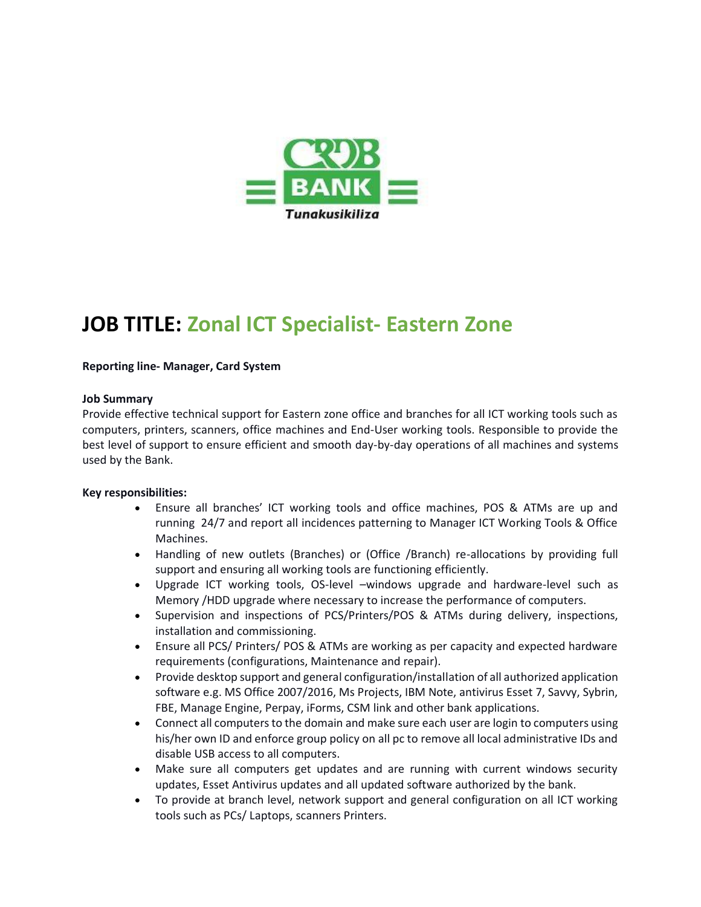

## **JOB TITLE: Zonal ICT Specialist- Eastern Zone**

#### **Reporting line- Manager, Card System**

#### **Job Summary**

Provide effective technical support for Eastern zone office and branches for all ICT working tools such as computers, printers, scanners, office machines and End-User working tools. Responsible to provide the best level of support to ensure efficient and smooth day-by-day operations of all machines and systems used by the Bank.

#### **Key responsibilities:**

- Ensure all branches' ICT working tools and office machines, POS & ATMs are up and running 24/7 and report all incidences patterning to Manager ICT Working Tools & Office Machines.
- Handling of new outlets (Branches) or (Office /Branch) re-allocations by providing full support and ensuring all working tools are functioning efficiently.
- Upgrade ICT working tools, OS-level –windows upgrade and hardware-level such as Memory /HDD upgrade where necessary to increase the performance of computers.
- Supervision and inspections of PCS/Printers/POS & ATMs during delivery, inspections, installation and commissioning.
- Ensure all PCS/ Printers/ POS & ATMs are working as per capacity and expected hardware requirements (configurations, Maintenance and repair).
- Provide desktop support and general configuration/installation of all authorized application software e.g. MS Office 2007/2016, Ms Projects, IBM Note, antivirus Esset 7, Savvy, Sybrin, FBE, Manage Engine, Perpay, iForms, CSM link and other bank applications.
- Connect all computers to the domain and make sure each user are login to computers using his/her own ID and enforce group policy on all pc to remove all local administrative IDs and disable USB access to all computers.
- Make sure all computers get updates and are running with current windows security updates, Esset Antivirus updates and all updated software authorized by the bank.
- To provide at branch level, network support and general configuration on all ICT working tools such as PCs/ Laptops, scanners Printers.